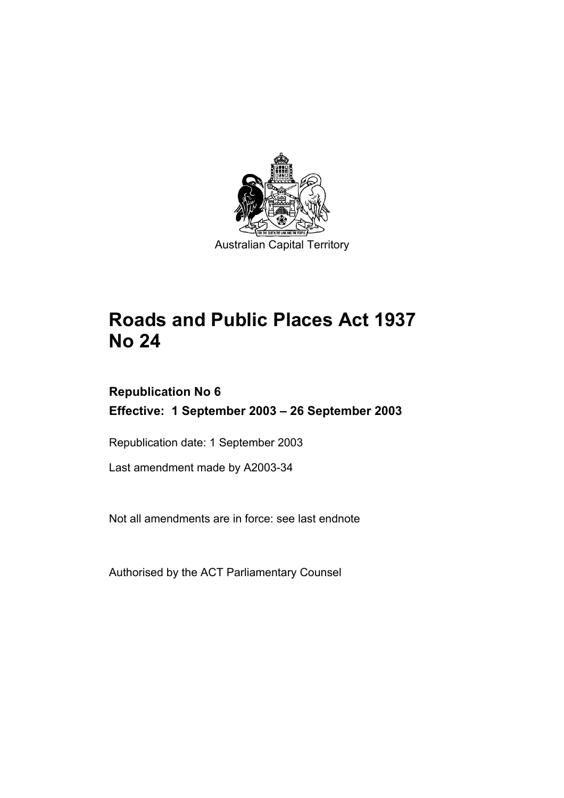

# **Roads and Public Places Act 1937 No 24**

# **Republication No 6 Effective: 1 September 2003 – 26 September 2003**

Republication date: 1 September 2003

Last amendment made by A2003-34

Not all amendments are in force: see last endnote

Authorised by the ACT Parliamentary Counsel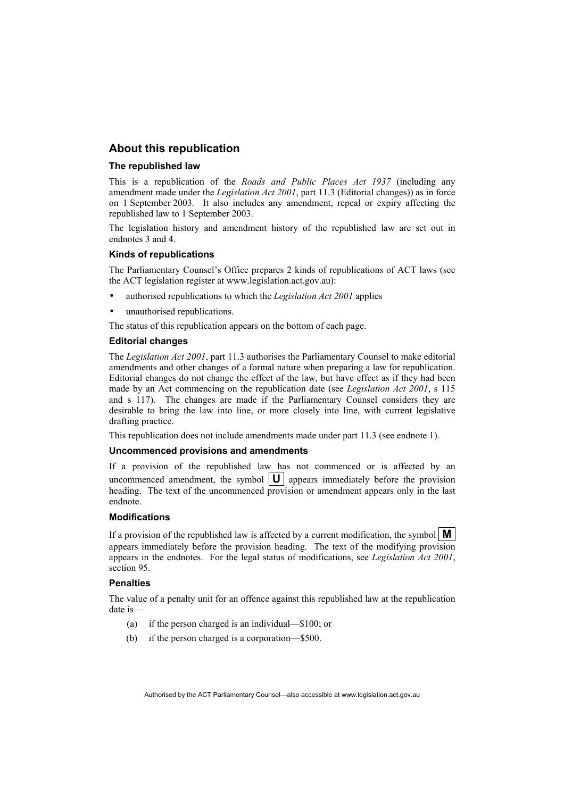## **About this republication**

## **The republished law**

This is a republication of the *Roads and Public Places Act 1937* (including any amendment made under the *Legislation Act 2001*, part 11.3 (Editorial changes)) as in force on 1 September 2003*.* It also includes any amendment, repeal or expiry affecting the republished law to 1 September 2003.

The legislation history and amendment history of the republished law are set out in endnotes 3 and 4.

## **Kinds of republications**

The Parliamentary Counsel's Office prepares 2 kinds of republications of ACT laws (see the ACT legislation register at www.legislation.act.gov.au):

- authorised republications to which the *Legislation Act 2001* applies
- unauthorised republications.

The status of this republication appears on the bottom of each page.

## **Editorial changes**

The *Legislation Act 2001*, part 11.3 authorises the Parliamentary Counsel to make editorial amendments and other changes of a formal nature when preparing a law for republication. Editorial changes do not change the effect of the law, but have effect as if they had been made by an Act commencing on the republication date (see *Legislation Act 2001*, s 115 and s 117). The changes are made if the Parliamentary Counsel considers they are desirable to bring the law into line, or more closely into line, with current legislative drafting practice.

This republication does not include amendments made under part 11.3 (see endnote 1).

## **Uncommenced provisions and amendments**

If a provision of the republished law has not commenced or is affected by an uncommenced amendment, the symbol  $\|\mathbf{U}\|$  appears immediately before the provision heading. The text of the uncommenced provision or amendment appears only in the last endnote.

## **Modifications**

If a provision of the republished law is affected by a current modification, the symbol  $\mathbf{M}$ appears immediately before the provision heading. The text of the modifying provision appears in the endnotes. For the legal status of modifications, see *Legislation Act 2001*, section 95.

### **Penalties**

The value of a penalty unit for an offence against this republished law at the republication date is—

- (a) if the person charged is an individual—\$100; or
- (b) if the person charged is a corporation—\$500.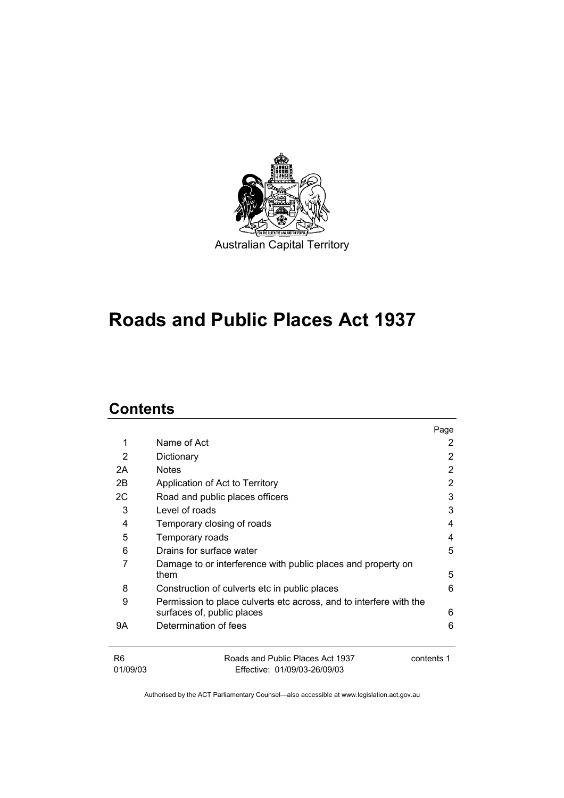

# **Roads and Public Places Act 1937**

# **Contents**

|                |                                                                    | Page       |
|----------------|--------------------------------------------------------------------|------------|
| 1              | Name of Act                                                        | 2          |
| 2              | Dictionary                                                         | 2          |
| 2Α             | <b>Notes</b>                                                       | 2          |
| 2Β             | Application of Act to Territory                                    | 2          |
| 2C             | Road and public places officers                                    | 3          |
| 3              | Level of roads                                                     | 3          |
| 4              | Temporary closing of roads                                         | 4          |
| 5              | Temporary roads                                                    | 4          |
| 6              | Drains for surface water                                           | 5          |
| 7              | Damage to or interference with public places and property on       |            |
|                | them                                                               | 5          |
| 8              | Construction of culverts etc in public places                      | 6          |
| 9              | Permission to place culverts etc across, and to interfere with the |            |
|                | surfaces of, public places                                         | 6          |
| 9Α             | Determination of fees                                              | 6          |
|                |                                                                    |            |
| R <sub>6</sub> | Roads and Public Places Act 1937                                   | contents 1 |
| 01/09/03       | Fffective: 01/09/03-26/09/03                                       |            |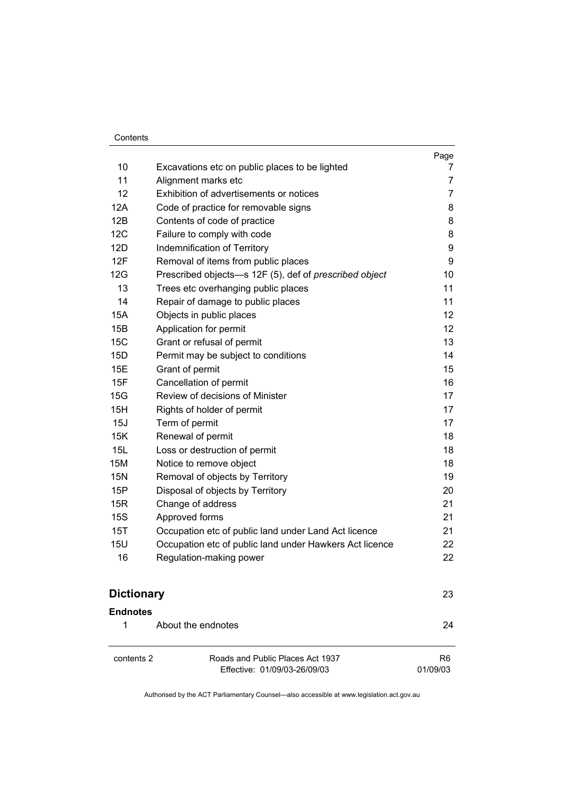| contents 2        | Roads and Public Places Act 1937<br>Effective: 01/09/03-26/09/03                   | R <sub>6</sub><br>01/09/03 |
|-------------------|------------------------------------------------------------------------------------|----------------------------|
|                   |                                                                                    |                            |
| 1                 | About the endnotes                                                                 | 24                         |
| <b>Endnotes</b>   |                                                                                    |                            |
| <b>Dictionary</b> |                                                                                    | 23                         |
|                   |                                                                                    |                            |
| <b>15U</b><br>16  | Occupation etc of public land under Hawkers Act licence<br>Regulation-making power | 22<br>22                   |
| 15T               | Occupation etc of public land under Land Act licence                               | 21                         |
| <b>15S</b>        | Approved forms                                                                     | 21                         |
| 15R               | Change of address                                                                  | 21                         |
|                   | Disposal of objects by Territory                                                   | 20                         |
| 15P               |                                                                                    |                            |
| <b>15N</b>        | Notice to remove object<br>Removal of objects by Territory                         | 19                         |
| 15L<br><b>15M</b> | Loss or destruction of permit                                                      | 18<br>18                   |
| 15K               | Renewal of permit                                                                  | 18                         |
| 15J               | Term of permit                                                                     | 17                         |
| 15H               | Rights of holder of permit                                                         | 17                         |
| 15G               | Review of decisions of Minister                                                    | 17                         |
| 15F               | Cancellation of permit                                                             | 16                         |
| 15E               | Grant of permit                                                                    | 15                         |
| 15D               | Permit may be subject to conditions                                                | 14                         |
| 15C               | Grant or refusal of permit                                                         | 13                         |
| 15B               | Application for permit                                                             | 12                         |
| 15A               | Objects in public places                                                           | 12                         |
| 14                | Repair of damage to public places                                                  | 11                         |
| 13                | Trees etc overhanging public places                                                | 11                         |
| 12G               | Prescribed objects-s 12F (5), def of prescribed object                             | 10                         |
| 12F               | Removal of items from public places                                                | 9                          |
| 12D               | Indemnification of Territory                                                       | 9                          |
| 12C               | Failure to comply with code                                                        | 8                          |
| 12B               | Contents of code of practice                                                       | 8                          |
| 12A               | Code of practice for removable signs                                               | 8                          |
| 12                | Exhibition of advertisements or notices                                            | 7                          |
| 11                | Alignment marks etc                                                                | 7                          |
| 10                | Excavations etc on public places to be lighted                                     | 7                          |
|                   |                                                                                    | Page                       |
| Contents          |                                                                                    |                            |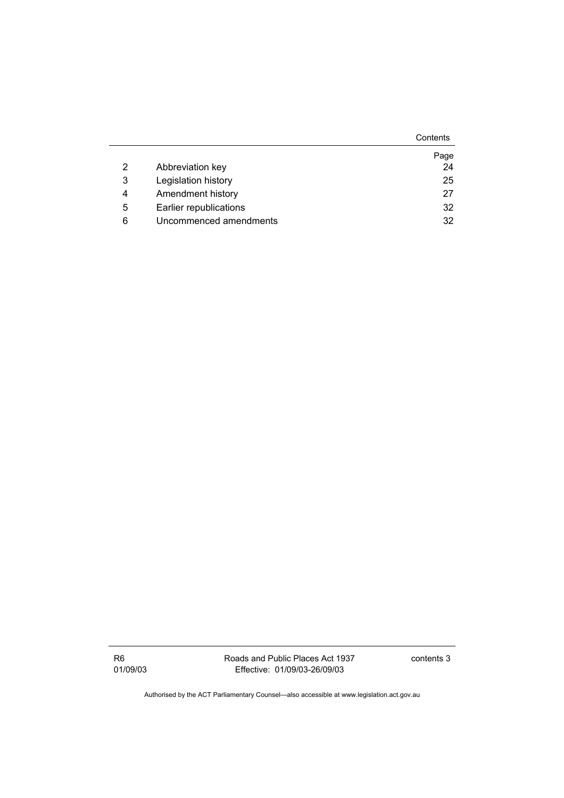|   |                        | Contents |
|---|------------------------|----------|
|   |                        | Page     |
| 2 | Abbreviation key       | 24       |
| 3 | Legislation history    | 25       |
| 4 | Amendment history      | 27       |
| 5 | Earlier republications | 32       |
| 6 | Uncommenced amendments | 32       |

R6 01/09/03 Roads and Public Places Act 1937 Effective: 01/09/03-26/09/03

contents 3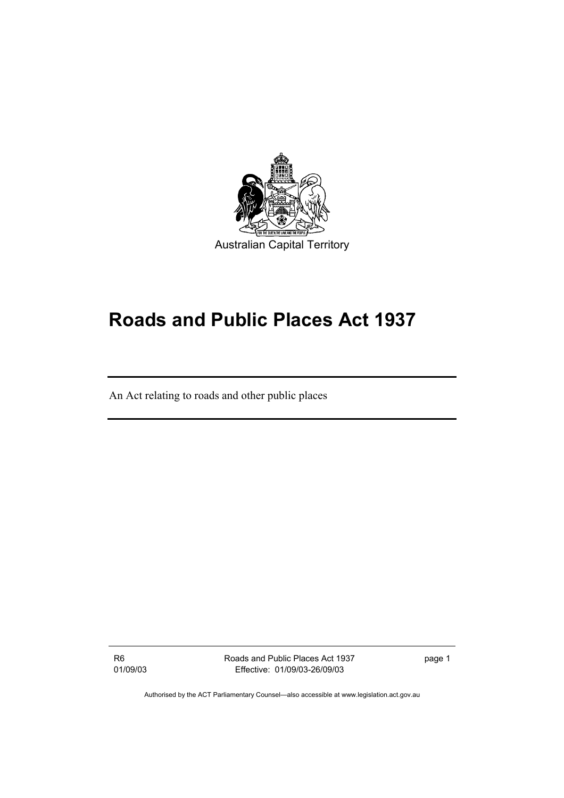

# **Roads and Public Places Act 1937**

An Act relating to roads and other public places

R6 01/09/03 Roads and Public Places Act 1937 Effective: 01/09/03-26/09/03

page 1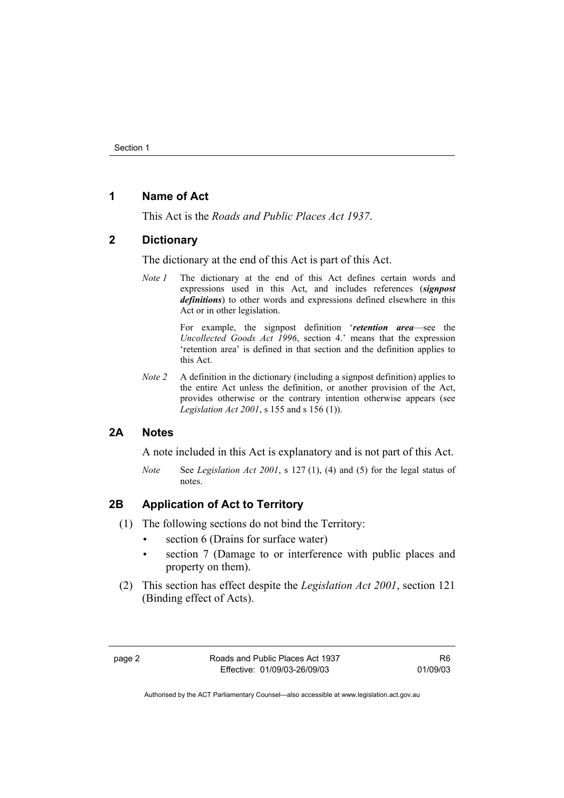# **1 Name of Act**

This Act is the *Roads and Public Places Act 1937*.

# **2 Dictionary**

The dictionary at the end of this Act is part of this Act.

*Note 1* The dictionary at the end of this Act defines certain words and expressions used in this Act, and includes references (*signpost definitions*) to other words and expressions defined elsewhere in this Act or in other legislation.

> For example, the signpost definition '*retention area*—see the *Uncollected Goods Act 1996*, section 4.' means that the expression 'retention area' is defined in that section and the definition applies to this Act.

*Note 2* A definition in the dictionary (including a signpost definition) applies to the entire Act unless the definition, or another provision of the Act, provides otherwise or the contrary intention otherwise appears (see *Legislation Act 2001*, s 155 and s 156 (1)).

# **2A Notes**

A note included in this Act is explanatory and is not part of this Act.

*Note* See *Legislation Act 2001*, s 127 (1), (4) and (5) for the legal status of notes.

# **2B Application of Act to Territory**

- (1) The following sections do not bind the Territory:
	- section 6 (Drains for surface water)
	- section 7 (Damage to or interference with public places and property on them).
- (2) This section has effect despite the *Legislation Act 2001*, section 121 (Binding effect of Acts).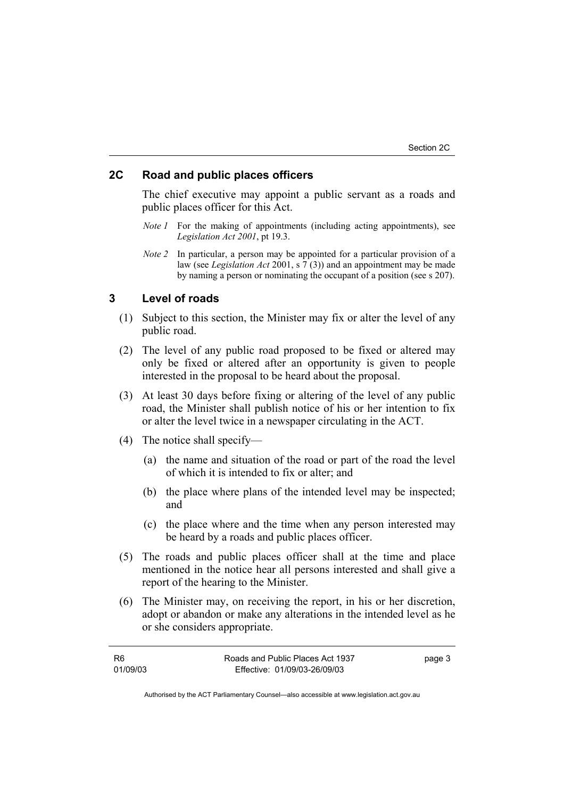# **2C Road and public places officers**

The chief executive may appoint a public servant as a roads and public places officer for this Act.

- *Note 1* For the making of appointments (including acting appointments), see *Legislation Act 2001*, pt 19.3.
- *Note 2* In particular, a person may be appointed for a particular provision of a law (see *Legislation Act* 2001, s 7 (3)) and an appointment may be made by naming a person or nominating the occupant of a position (see s 207).

## **3 Level of roads**

- (1) Subject to this section, the Minister may fix or alter the level of any public road.
- (2) The level of any public road proposed to be fixed or altered may only be fixed or altered after an opportunity is given to people interested in the proposal to be heard about the proposal.
- (3) At least 30 days before fixing or altering of the level of any public road, the Minister shall publish notice of his or her intention to fix or alter the level twice in a newspaper circulating in the ACT.
- (4) The notice shall specify—
	- (a) the name and situation of the road or part of the road the level of which it is intended to fix or alter; and
	- (b) the place where plans of the intended level may be inspected; and
	- (c) the place where and the time when any person interested may be heard by a roads and public places officer.
- (5) The roads and public places officer shall at the time and place mentioned in the notice hear all persons interested and shall give a report of the hearing to the Minister.
- (6) The Minister may, on receiving the report, in his or her discretion, adopt or abandon or make any alterations in the intended level as he or she considers appropriate.

| R6       | Roads and Public Places Act 1937 | page 3 |
|----------|----------------------------------|--------|
| 01/09/03 | Effective: 01/09/03-26/09/03     |        |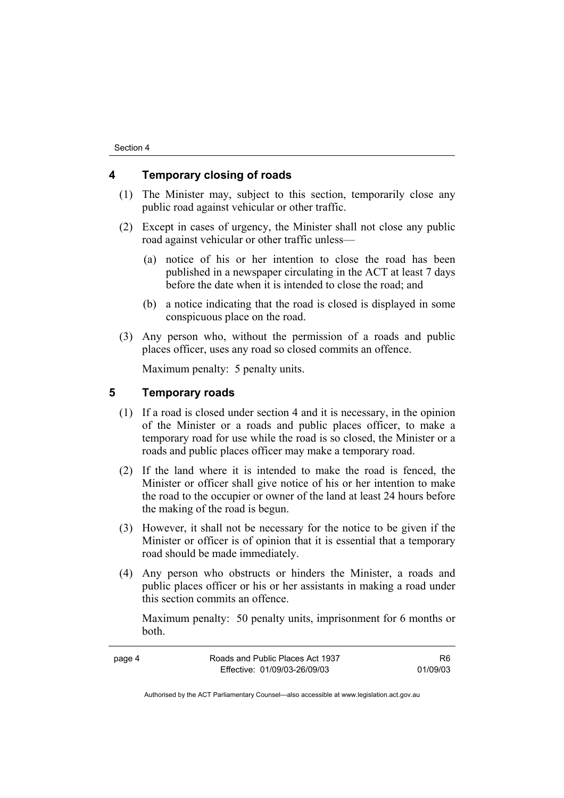# **4 Temporary closing of roads**

- (1) The Minister may, subject to this section, temporarily close any public road against vehicular or other traffic.
- (2) Except in cases of urgency, the Minister shall not close any public road against vehicular or other traffic unless—
	- (a) notice of his or her intention to close the road has been published in a newspaper circulating in the ACT at least 7 days before the date when it is intended to close the road; and
	- (b) a notice indicating that the road is closed is displayed in some conspicuous place on the road.
- (3) Any person who, without the permission of a roads and public places officer, uses any road so closed commits an offence.

Maximum penalty: 5 penalty units.

# **5 Temporary roads**

- (1) If a road is closed under section 4 and it is necessary, in the opinion of the Minister or a roads and public places officer, to make a temporary road for use while the road is so closed, the Minister or a roads and public places officer may make a temporary road.
- (2) If the land where it is intended to make the road is fenced, the Minister or officer shall give notice of his or her intention to make the road to the occupier or owner of the land at least 24 hours before the making of the road is begun.
- (3) However, it shall not be necessary for the notice to be given if the Minister or officer is of opinion that it is essential that a temporary road should be made immediately.
- (4) Any person who obstructs or hinders the Minister, a roads and public places officer or his or her assistants in making a road under this section commits an offence.

Maximum penalty: 50 penalty units, imprisonment for 6 months or both.

| page 4 | Roads and Public Places Act 1937 | R6       |
|--------|----------------------------------|----------|
|        | Effective: 01/09/03-26/09/03     | 01/09/03 |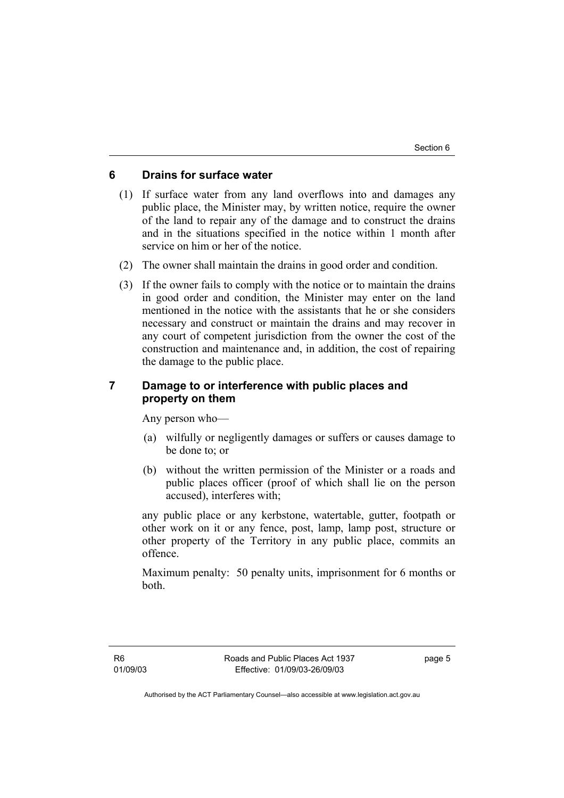# **6 Drains for surface water**

- (1) If surface water from any land overflows into and damages any public place, the Minister may, by written notice, require the owner of the land to repair any of the damage and to construct the drains and in the situations specified in the notice within 1 month after service on him or her of the notice.
- (2) The owner shall maintain the drains in good order and condition.
- (3) If the owner fails to comply with the notice or to maintain the drains in good order and condition, the Minister may enter on the land mentioned in the notice with the assistants that he or she considers necessary and construct or maintain the drains and may recover in any court of competent jurisdiction from the owner the cost of the construction and maintenance and, in addition, the cost of repairing the damage to the public place.

# **7 Damage to or interference with public places and property on them**

Any person who—

- (a) wilfully or negligently damages or suffers or causes damage to be done to; or
- (b) without the written permission of the Minister or a roads and public places officer (proof of which shall lie on the person accused), interferes with;

any public place or any kerbstone, watertable, gutter, footpath or other work on it or any fence, post, lamp, lamp post, structure or other property of the Territory in any public place, commits an offence.

Maximum penalty: 50 penalty units, imprisonment for 6 months or both.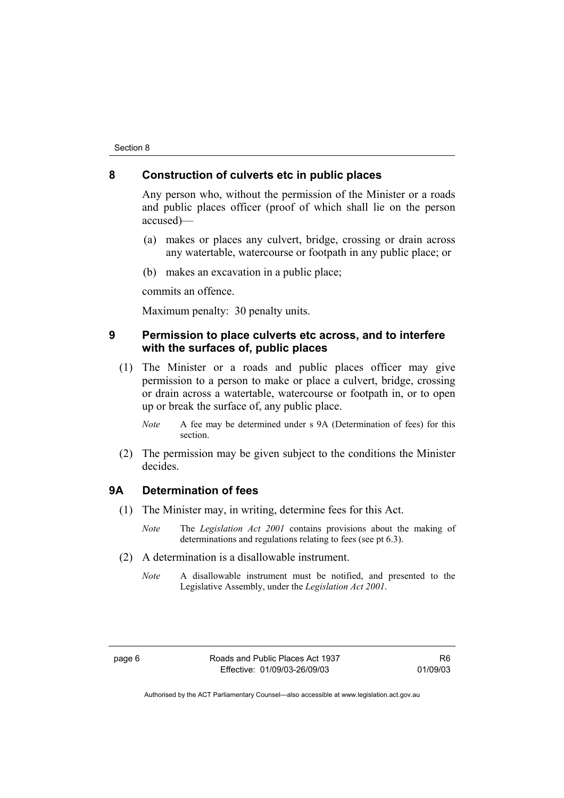## **8 Construction of culverts etc in public places**

Any person who, without the permission of the Minister or a roads and public places officer (proof of which shall lie on the person accused)—

- (a) makes or places any culvert, bridge, crossing or drain across any watertable, watercourse or footpath in any public place; or
- (b) makes an excavation in a public place;

commits an offence.

Maximum penalty: 30 penalty units.

# **9 Permission to place culverts etc across, and to interfere with the surfaces of, public places**

- (1) The Minister or a roads and public places officer may give permission to a person to make or place a culvert, bridge, crossing or drain across a watertable, watercourse or footpath in, or to open up or break the surface of, any public place.
	- *Note* A fee may be determined under s 9A (Determination of fees) for this section.
- (2) The permission may be given subject to the conditions the Minister decides.

# **9A Determination of fees**

- (1) The Minister may, in writing, determine fees for this Act.
	- *Note* The *Legislation Act 2001* contains provisions about the making of determinations and regulations relating to fees (see pt 6.3).
- (2) A determination is a disallowable instrument.
	- *Note* A disallowable instrument must be notified, and presented to the Legislative Assembly, under the *Legislation Act 2001*.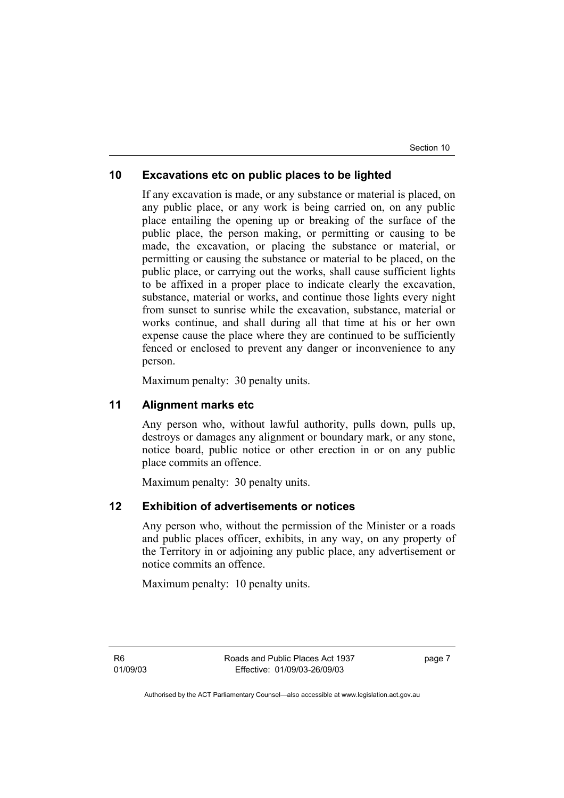Section 10

# **10 Excavations etc on public places to be lighted**

If any excavation is made, or any substance or material is placed, on any public place, or any work is being carried on, on any public place entailing the opening up or breaking of the surface of the public place, the person making, or permitting or causing to be made, the excavation, or placing the substance or material, or permitting or causing the substance or material to be placed, on the public place, or carrying out the works, shall cause sufficient lights to be affixed in a proper place to indicate clearly the excavation, substance, material or works, and continue those lights every night from sunset to sunrise while the excavation, substance, material or works continue, and shall during all that time at his or her own expense cause the place where they are continued to be sufficiently fenced or enclosed to prevent any danger or inconvenience to any person.

Maximum penalty: 30 penalty units.

# **11 Alignment marks etc**

Any person who, without lawful authority, pulls down, pulls up, destroys or damages any alignment or boundary mark, or any stone, notice board, public notice or other erection in or on any public place commits an offence.

Maximum penalty: 30 penalty units.

# **12 Exhibition of advertisements or notices**

Any person who, without the permission of the Minister or a roads and public places officer, exhibits, in any way, on any property of the Territory in or adjoining any public place, any advertisement or notice commits an offence.

Maximum penalty: 10 penalty units.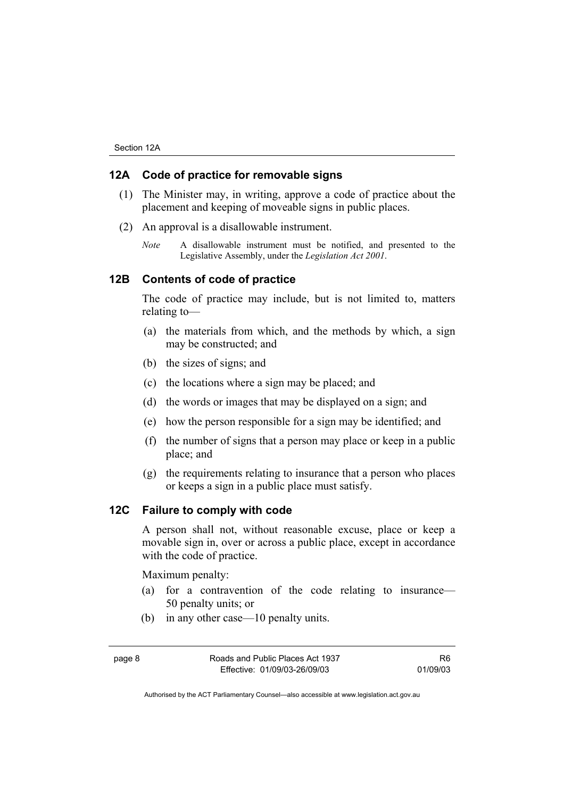# **12A Code of practice for removable signs**

- (1) The Minister may, in writing, approve a code of practice about the placement and keeping of moveable signs in public places.
- (2) An approval is a disallowable instrument.
	- *Note* A disallowable instrument must be notified, and presented to the Legislative Assembly, under the *Legislation Act 2001*.

## **12B Contents of code of practice**

The code of practice may include, but is not limited to, matters relating to—

- (a) the materials from which, and the methods by which, a sign may be constructed; and
- (b) the sizes of signs; and
- (c) the locations where a sign may be placed; and
- (d) the words or images that may be displayed on a sign; and
- (e) how the person responsible for a sign may be identified; and
- (f) the number of signs that a person may place or keep in a public place; and
- (g) the requirements relating to insurance that a person who places or keeps a sign in a public place must satisfy.

# **12C Failure to comply with code**

A person shall not, without reasonable excuse, place or keep a movable sign in, over or across a public place, except in accordance with the code of practice.

Maximum penalty:

- (a) for a contravention of the code relating to insurance— 50 penalty units; or
- (b) in any other case—10 penalty units.

R6 01/09/03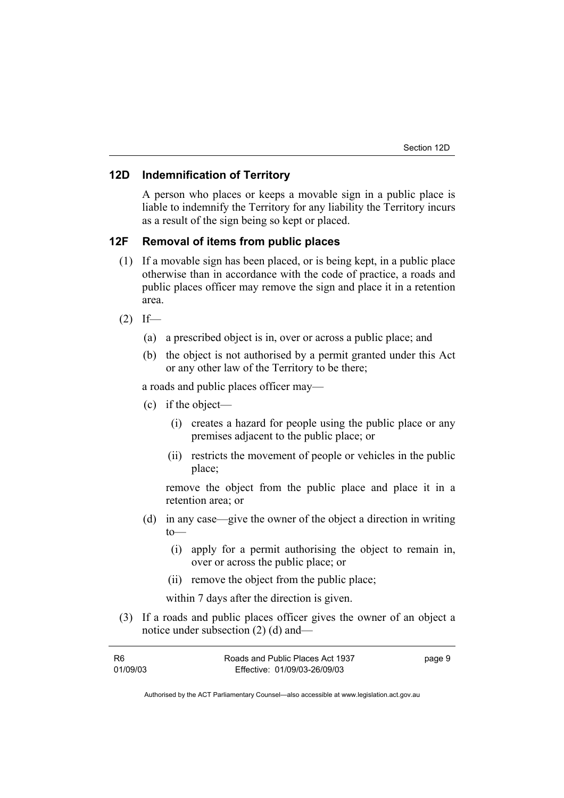## **12D Indemnification of Territory**

A person who places or keeps a movable sign in a public place is liable to indemnify the Territory for any liability the Territory incurs as a result of the sign being so kept or placed.

# **12F Removal of items from public places**

- (1) If a movable sign has been placed, or is being kept, in a public place otherwise than in accordance with the code of practice, a roads and public places officer may remove the sign and place it in a retention area.
- $(2)$  If—
	- (a) a prescribed object is in, over or across a public place; and
	- (b) the object is not authorised by a permit granted under this Act or any other law of the Territory to be there;

a roads and public places officer may—

- (c) if the object—
	- (i) creates a hazard for people using the public place or any premises adjacent to the public place; or
	- (ii) restricts the movement of people or vehicles in the public place;

remove the object from the public place and place it in a retention area; or

- (d) in any case—give the owner of the object a direction in writing to—
	- (i) apply for a permit authorising the object to remain in, over or across the public place; or
	- (ii) remove the object from the public place;

within 7 days after the direction is given.

 (3) If a roads and public places officer gives the owner of an object a notice under subsection (2) (d) and—

| -R6      | Roads and Public Places Act 1937 | page 9 |
|----------|----------------------------------|--------|
| 01/09/03 | Effective: 01/09/03-26/09/03     |        |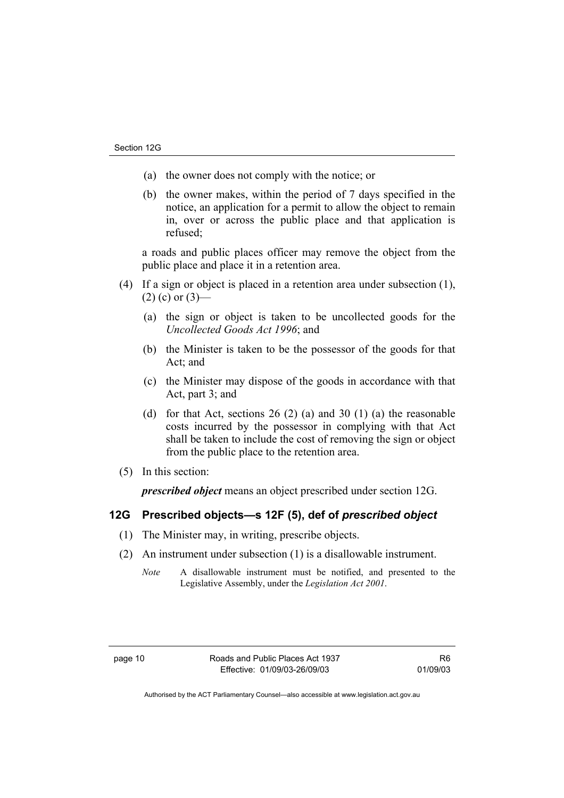- (a) the owner does not comply with the notice; or
- (b) the owner makes, within the period of 7 days specified in the notice, an application for a permit to allow the object to remain in, over or across the public place and that application is refused;

a roads and public places officer may remove the object from the public place and place it in a retention area.

- (4) If a sign or object is placed in a retention area under subsection (1),  $(2)$  (c) or  $(3)$ —
	- (a) the sign or object is taken to be uncollected goods for the *Uncollected Goods Act 1996*; and
	- (b) the Minister is taken to be the possessor of the goods for that Act; and
	- (c) the Minister may dispose of the goods in accordance with that Act, part 3; and
	- (d) for that Act, sections 26 (2) (a) and 30 (1) (a) the reasonable costs incurred by the possessor in complying with that Act shall be taken to include the cost of removing the sign or object from the public place to the retention area.
- (5) In this section:

*prescribed object* means an object prescribed under section 12G.

# **12G Prescribed objects—s 12F (5), def of** *prescribed object*

- (1) The Minister may, in writing, prescribe objects.
- (2) An instrument under subsection (1) is a disallowable instrument.
	- *Note* A disallowable instrument must be notified, and presented to the Legislative Assembly, under the *Legislation Act 2001*.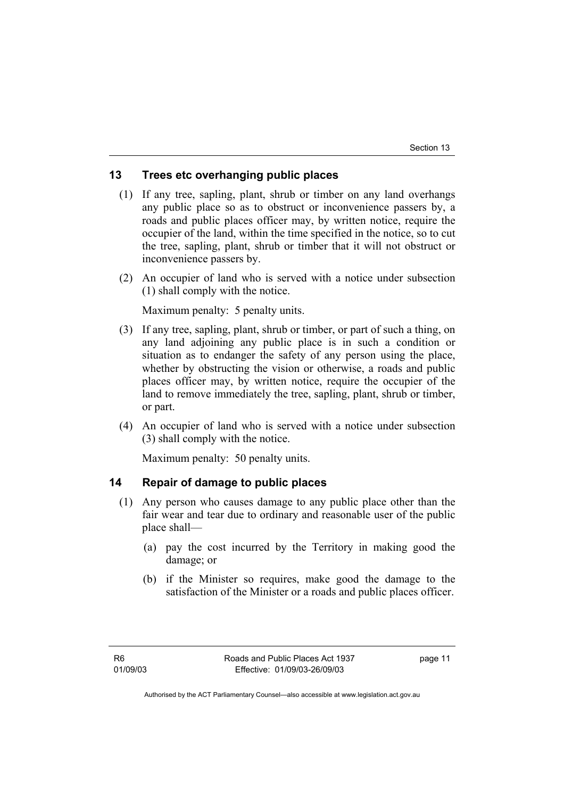# **13 Trees etc overhanging public places**

- (1) If any tree, sapling, plant, shrub or timber on any land overhangs any public place so as to obstruct or inconvenience passers by, a roads and public places officer may, by written notice, require the occupier of the land, within the time specified in the notice, so to cut the tree, sapling, plant, shrub or timber that it will not obstruct or inconvenience passers by.
- (2) An occupier of land who is served with a notice under subsection (1) shall comply with the notice.

Maximum penalty: 5 penalty units.

- (3) If any tree, sapling, plant, shrub or timber, or part of such a thing, on any land adjoining any public place is in such a condition or situation as to endanger the safety of any person using the place, whether by obstructing the vision or otherwise, a roads and public places officer may, by written notice, require the occupier of the land to remove immediately the tree, sapling, plant, shrub or timber, or part.
- (4) An occupier of land who is served with a notice under subsection (3) shall comply with the notice.

Maximum penalty: 50 penalty units.

# **14 Repair of damage to public places**

- (1) Any person who causes damage to any public place other than the fair wear and tear due to ordinary and reasonable user of the public place shall—
	- (a) pay the cost incurred by the Territory in making good the damage; or
	- (b) if the Minister so requires, make good the damage to the satisfaction of the Minister or a roads and public places officer.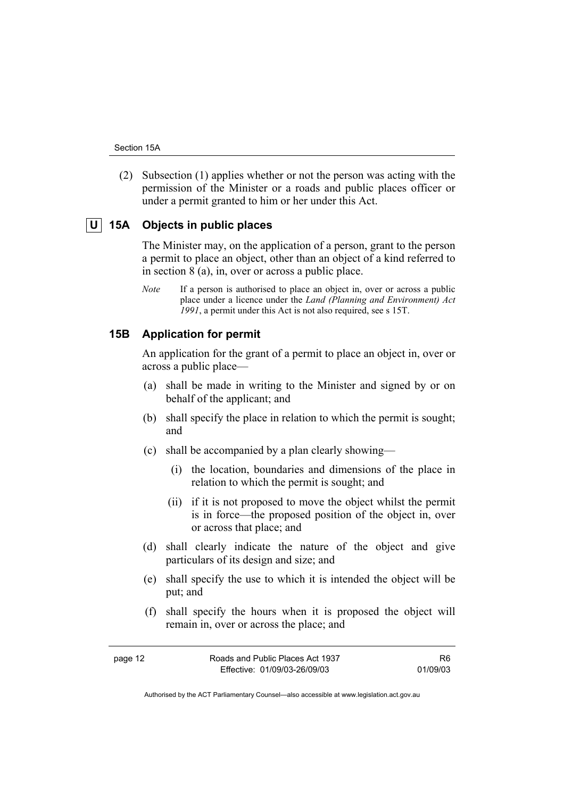(2) Subsection (1) applies whether or not the person was acting with the permission of the Minister or a roads and public places officer or under a permit granted to him or her under this Act.

# **U 15A Objects in public places**

The Minister may, on the application of a person, grant to the person a permit to place an object, other than an object of a kind referred to in section 8 (a), in, over or across a public place.

*Note* If a person is authorised to place an object in, over or across a public place under a licence under the *Land (Planning and Environment) Act 1991*, a permit under this Act is not also required, see s 15T.

## **15B Application for permit**

An application for the grant of a permit to place an object in, over or across a public place—

- (a) shall be made in writing to the Minister and signed by or on behalf of the applicant; and
- (b) shall specify the place in relation to which the permit is sought; and
- (c) shall be accompanied by a plan clearly showing—
	- (i) the location, boundaries and dimensions of the place in relation to which the permit is sought; and
	- (ii) if it is not proposed to move the object whilst the permit is in force—the proposed position of the object in, over or across that place; and
- (d) shall clearly indicate the nature of the object and give particulars of its design and size; and
- (e) shall specify the use to which it is intended the object will be put; and
- (f) shall specify the hours when it is proposed the object will remain in, over or across the place; and

| page 12 | Roads and Public Places Act 1937 | R6       |
|---------|----------------------------------|----------|
|         | Effective: 01/09/03-26/09/03     | 01/09/03 |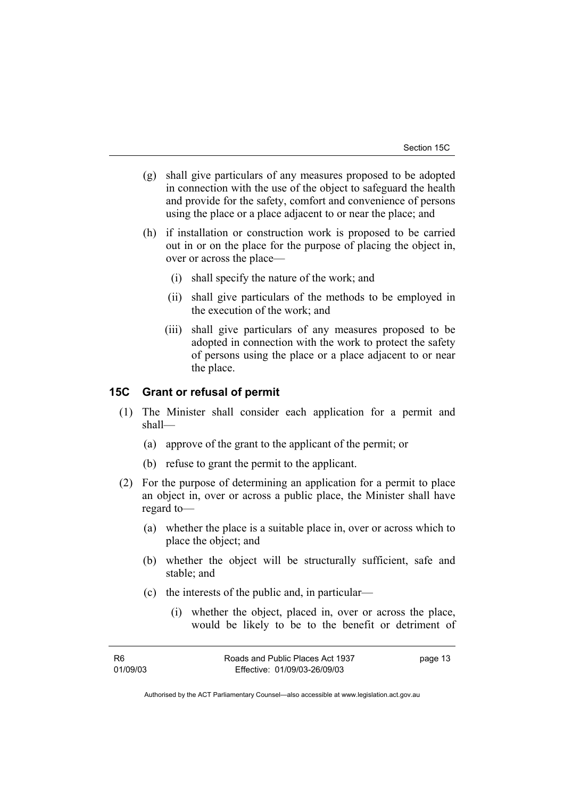- (g) shall give particulars of any measures proposed to be adopted in connection with the use of the object to safeguard the health and provide for the safety, comfort and convenience of persons using the place or a place adjacent to or near the place; and
- (h) if installation or construction work is proposed to be carried out in or on the place for the purpose of placing the object in, over or across the place—
	- (i) shall specify the nature of the work; and
	- (ii) shall give particulars of the methods to be employed in the execution of the work; and
	- (iii) shall give particulars of any measures proposed to be adopted in connection with the work to protect the safety of persons using the place or a place adjacent to or near the place.

## **15C Grant or refusal of permit**

- (1) The Minister shall consider each application for a permit and shall—
	- (a) approve of the grant to the applicant of the permit; or
	- (b) refuse to grant the permit to the applicant.
- (2) For the purpose of determining an application for a permit to place an object in, over or across a public place, the Minister shall have regard to—
	- (a) whether the place is a suitable place in, over or across which to place the object; and
	- (b) whether the object will be structurally sufficient, safe and stable; and
	- (c) the interests of the public and, in particular—
		- (i) whether the object, placed in, over or across the place, would be likely to be to the benefit or detriment of

page 13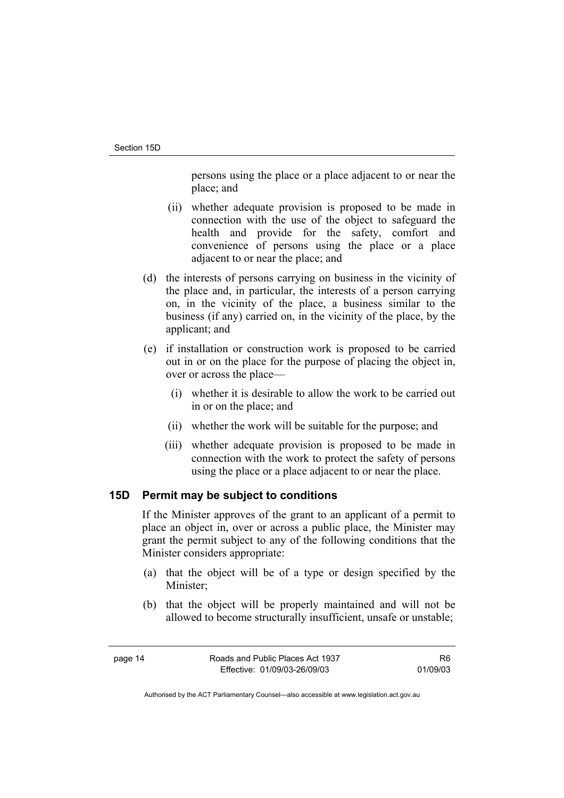persons using the place or a place adjacent to or near the place; and

- (ii) whether adequate provision is proposed to be made in connection with the use of the object to safeguard the health and provide for the safety, comfort and convenience of persons using the place or a place adjacent to or near the place; and
- (d) the interests of persons carrying on business in the vicinity of the place and, in particular, the interests of a person carrying on, in the vicinity of the place, a business similar to the business (if any) carried on, in the vicinity of the place, by the applicant; and
- (e) if installation or construction work is proposed to be carried out in or on the place for the purpose of placing the object in, over or across the place—
	- (i) whether it is desirable to allow the work to be carried out in or on the place; and
	- (ii) whether the work will be suitable for the purpose; and
	- (iii) whether adequate provision is proposed to be made in connection with the work to protect the safety of persons using the place or a place adjacent to or near the place.

# **15D Permit may be subject to conditions**

If the Minister approves of the grant to an applicant of a permit to place an object in, over or across a public place, the Minister may grant the permit subject to any of the following conditions that the Minister considers appropriate:

- (a) that the object will be of a type or design specified by the Minister;
- (b) that the object will be properly maintained and will not be allowed to become structurally insufficient, unsafe or unstable;

R6 01/09/03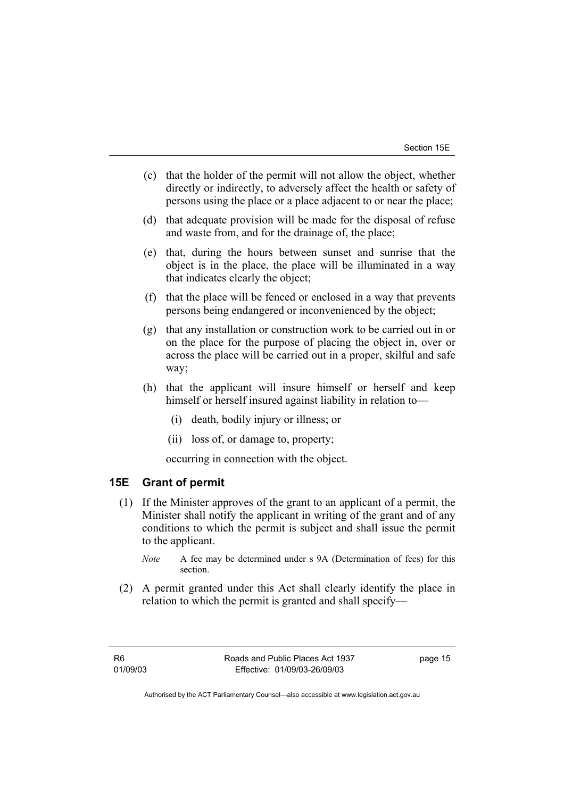- (c) that the holder of the permit will not allow the object, whether directly or indirectly, to adversely affect the health or safety of persons using the place or a place adjacent to or near the place;
- (d) that adequate provision will be made for the disposal of refuse and waste from, and for the drainage of, the place;
- (e) that, during the hours between sunset and sunrise that the object is in the place, the place will be illuminated in a way that indicates clearly the object;
- (f) that the place will be fenced or enclosed in a way that prevents persons being endangered or inconvenienced by the object;
- (g) that any installation or construction work to be carried out in or on the place for the purpose of placing the object in, over or across the place will be carried out in a proper, skilful and safe way;
- (h) that the applicant will insure himself or herself and keep himself or herself insured against liability in relation to—
	- (i) death, bodily injury or illness; or
	- (ii) loss of, or damage to, property;

occurring in connection with the object.

# **15E Grant of permit**

- (1) If the Minister approves of the grant to an applicant of a permit, the Minister shall notify the applicant in writing of the grant and of any conditions to which the permit is subject and shall issue the permit to the applicant.
	- *Note* A fee may be determined under s 9A (Determination of fees) for this section.
- (2) A permit granted under this Act shall clearly identify the place in relation to which the permit is granted and shall specify—

page 15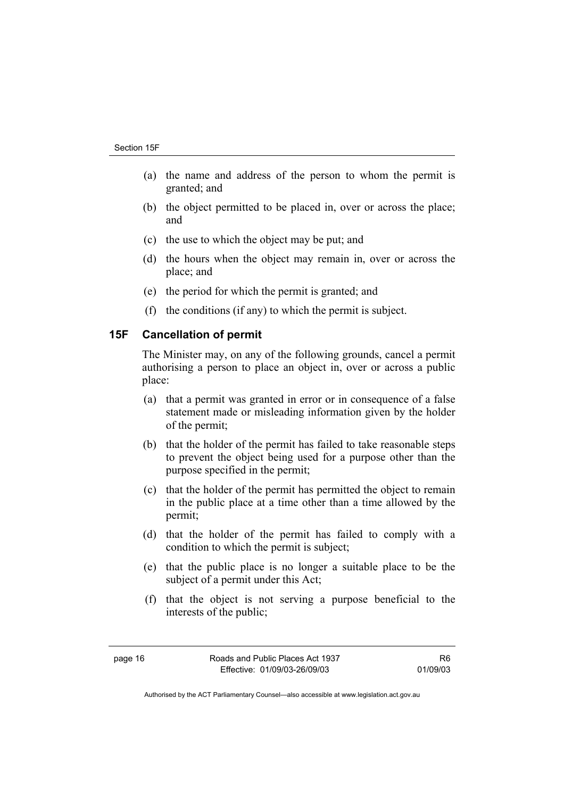- (a) the name and address of the person to whom the permit is granted; and
- (b) the object permitted to be placed in, over or across the place; and
- (c) the use to which the object may be put; and
- (d) the hours when the object may remain in, over or across the place; and
- (e) the period for which the permit is granted; and
- (f) the conditions (if any) to which the permit is subject.

## **15F Cancellation of permit**

The Minister may, on any of the following grounds, cancel a permit authorising a person to place an object in, over or across a public place:

- (a) that a permit was granted in error or in consequence of a false statement made or misleading information given by the holder of the permit;
- (b) that the holder of the permit has failed to take reasonable steps to prevent the object being used for a purpose other than the purpose specified in the permit;
- (c) that the holder of the permit has permitted the object to remain in the public place at a time other than a time allowed by the permit;
- (d) that the holder of the permit has failed to comply with a condition to which the permit is subject;
- (e) that the public place is no longer a suitable place to be the subject of a permit under this Act;
- (f) that the object is not serving a purpose beneficial to the interests of the public;

R6 01/09/03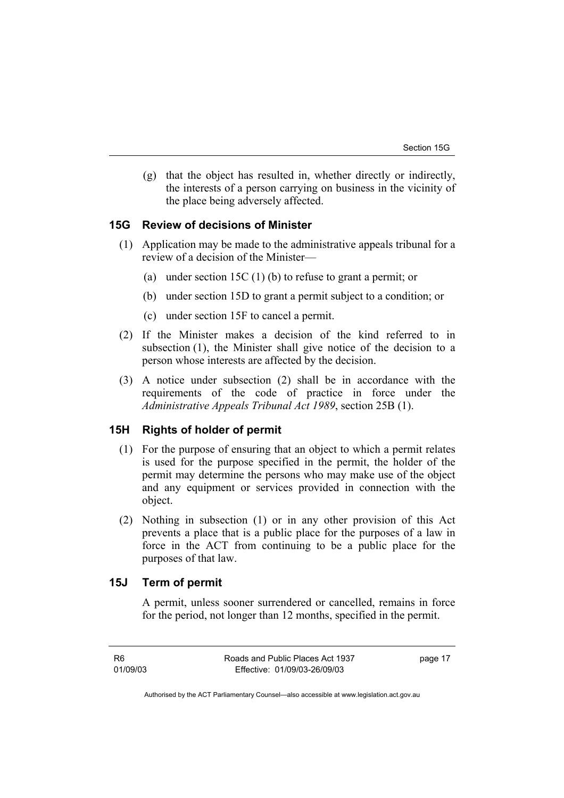(g) that the object has resulted in, whether directly or indirectly, the interests of a person carrying on business in the vicinity of the place being adversely affected.

## **15G Review of decisions of Minister**

- (1) Application may be made to the administrative appeals tribunal for a review of a decision of the Minister—
	- (a) under section 15C (1) (b) to refuse to grant a permit; or
	- (b) under section 15D to grant a permit subject to a condition; or
	- (c) under section 15F to cancel a permit.
- (2) If the Minister makes a decision of the kind referred to in subsection (1), the Minister shall give notice of the decision to a person whose interests are affected by the decision.
- (3) A notice under subsection (2) shall be in accordance with the requirements of the code of practice in force under the *Administrative Appeals Tribunal Act 1989*, section 25B (1).

# **15H Rights of holder of permit**

- (1) For the purpose of ensuring that an object to which a permit relates is used for the purpose specified in the permit, the holder of the permit may determine the persons who may make use of the object and any equipment or services provided in connection with the object.
- (2) Nothing in subsection (1) or in any other provision of this Act prevents a place that is a public place for the purposes of a law in force in the ACT from continuing to be a public place for the purposes of that law.

## **15J Term of permit**

A permit, unless sooner surrendered or cancelled, remains in force for the period, not longer than 12 months, specified in the permit.

page 17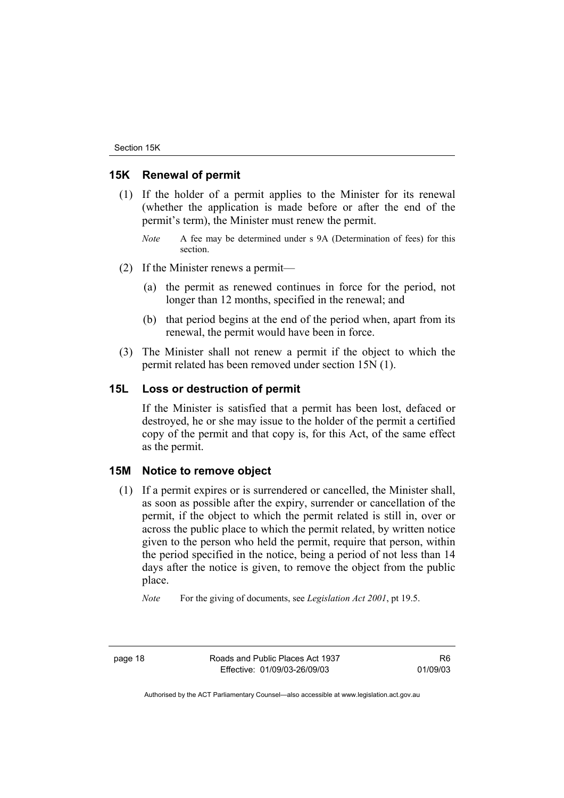## **15K Renewal of permit**

- (1) If the holder of a permit applies to the Minister for its renewal (whether the application is made before or after the end of the permit's term), the Minister must renew the permit.
	- *Note* A fee may be determined under s 9A (Determination of fees) for this section.
- (2) If the Minister renews a permit—
	- (a) the permit as renewed continues in force for the period, not longer than 12 months, specified in the renewal; and
	- (b) that period begins at the end of the period when, apart from its renewal, the permit would have been in force.
- (3) The Minister shall not renew a permit if the object to which the permit related has been removed under section 15N (1).

# **15L Loss or destruction of permit**

If the Minister is satisfied that a permit has been lost, defaced or destroyed, he or she may issue to the holder of the permit a certified copy of the permit and that copy is, for this Act, of the same effect as the permit.

## **15M Notice to remove object**

 (1) If a permit expires or is surrendered or cancelled, the Minister shall, as soon as possible after the expiry, surrender or cancellation of the permit, if the object to which the permit related is still in, over or across the public place to which the permit related, by written notice given to the person who held the permit, require that person, within the period specified in the notice, being a period of not less than 14 days after the notice is given, to remove the object from the public place.

*Note* For the giving of documents, see *Legislation Act 2001*, pt 19.5.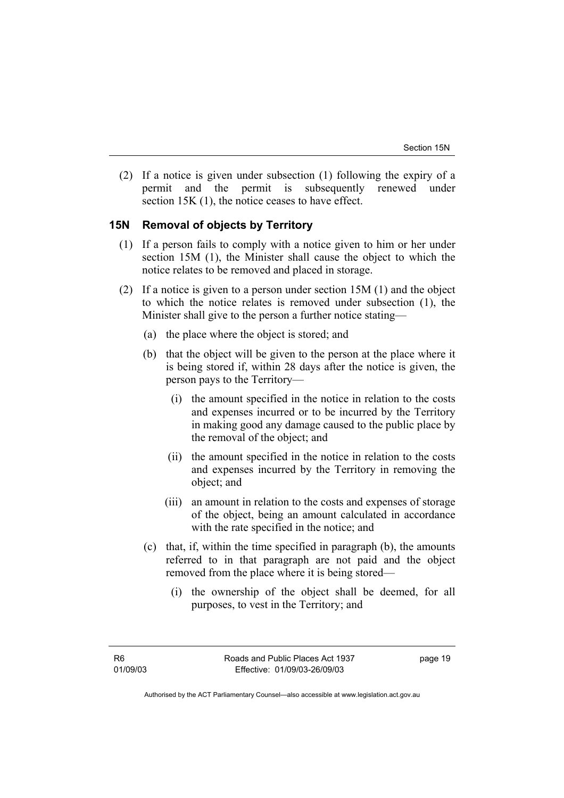(2) If a notice is given under subsection (1) following the expiry of a permit and the permit is subsequently renewed under section 15K (1), the notice ceases to have effect.

## **15N Removal of objects by Territory**

- (1) If a person fails to comply with a notice given to him or her under section 15M (1), the Minister shall cause the object to which the notice relates to be removed and placed in storage.
- (2) If a notice is given to a person under section 15M (1) and the object to which the notice relates is removed under subsection (1), the Minister shall give to the person a further notice stating—
	- (a) the place where the object is stored; and
	- (b) that the object will be given to the person at the place where it is being stored if, within 28 days after the notice is given, the person pays to the Territory—
		- (i) the amount specified in the notice in relation to the costs and expenses incurred or to be incurred by the Territory in making good any damage caused to the public place by the removal of the object; and
		- (ii) the amount specified in the notice in relation to the costs and expenses incurred by the Territory in removing the object; and
		- (iii) an amount in relation to the costs and expenses of storage of the object, being an amount calculated in accordance with the rate specified in the notice; and
	- (c) that, if, within the time specified in paragraph (b), the amounts referred to in that paragraph are not paid and the object removed from the place where it is being stored—
		- (i) the ownership of the object shall be deemed, for all purposes, to vest in the Territory; and

page 19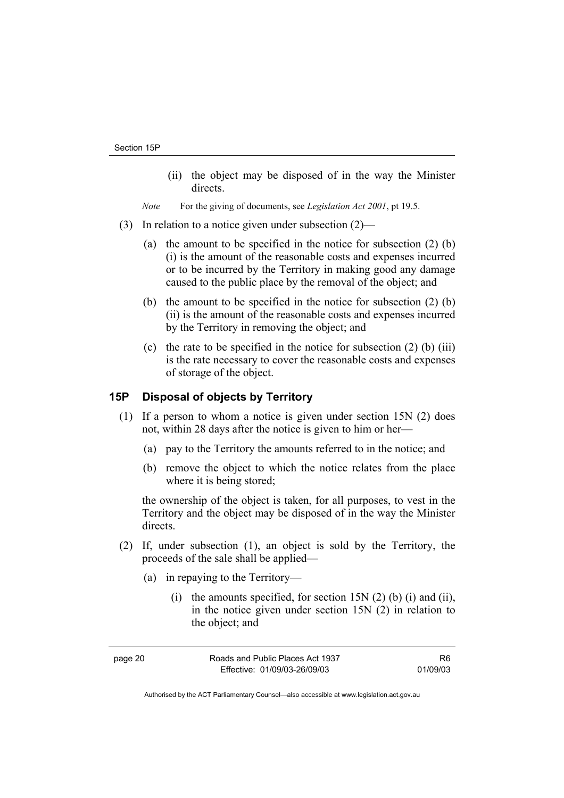(ii) the object may be disposed of in the way the Minister directs.

*Note* For the giving of documents, see *Legislation Act 2001*, pt 19.5.

- (3) In relation to a notice given under subsection (2)—
	- (a) the amount to be specified in the notice for subsection (2) (b) (i) is the amount of the reasonable costs and expenses incurred or to be incurred by the Territory in making good any damage caused to the public place by the removal of the object; and
	- (b) the amount to be specified in the notice for subsection (2) (b) (ii) is the amount of the reasonable costs and expenses incurred by the Territory in removing the object; and
	- (c) the rate to be specified in the notice for subsection  $(2)$  (b) (iii) is the rate necessary to cover the reasonable costs and expenses of storage of the object.

## **15P Disposal of objects by Territory**

- (1) If a person to whom a notice is given under section 15N (2) does not, within 28 days after the notice is given to him or her—
	- (a) pay to the Territory the amounts referred to in the notice; and
	- (b) remove the object to which the notice relates from the place where it is being stored;

the ownership of the object is taken, for all purposes, to vest in the Territory and the object may be disposed of in the way the Minister directs.

- (2) If, under subsection (1), an object is sold by the Territory, the proceeds of the sale shall be applied—
	- (a) in repaying to the Territory—
		- (i) the amounts specified, for section  $15N(2)$  (b) (i) and (ii), in the notice given under section 15N (2) in relation to the object; and

| page 20 | Roads and Public Places Act 1937 | R <sub>6</sub> |
|---------|----------------------------------|----------------|
|         | Effective: 01/09/03-26/09/03     | 01/09/03       |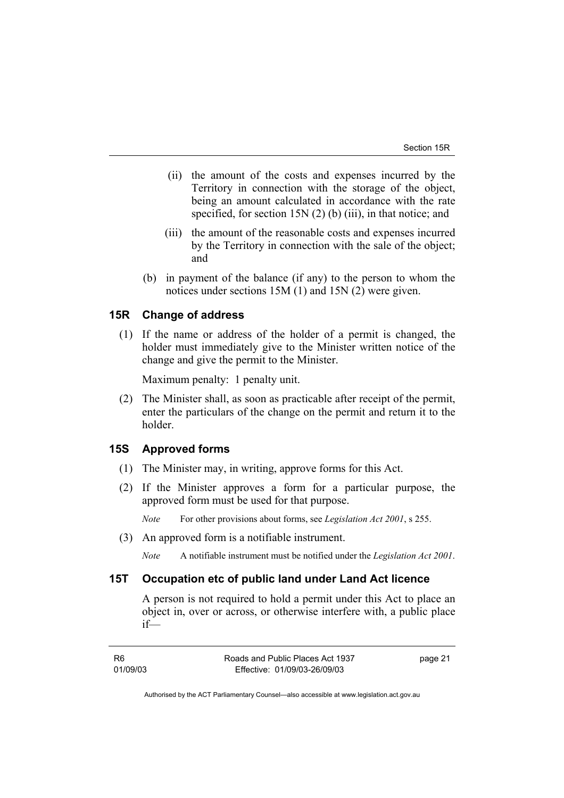- (ii) the amount of the costs and expenses incurred by the Territory in connection with the storage of the object, being an amount calculated in accordance with the rate specified, for section  $15N(2)$  (b) (iii), in that notice; and
- (iii) the amount of the reasonable costs and expenses incurred by the Territory in connection with the sale of the object; and
- (b) in payment of the balance (if any) to the person to whom the notices under sections 15M (1) and 15N (2) were given.

# **15R Change of address**

 (1) If the name or address of the holder of a permit is changed, the holder must immediately give to the Minister written notice of the change and give the permit to the Minister.

Maximum penalty: 1 penalty unit.

 (2) The Minister shall, as soon as practicable after receipt of the permit, enter the particulars of the change on the permit and return it to the holder.

# **15S Approved forms**

- (1) The Minister may, in writing, approve forms for this Act.
- (2) If the Minister approves a form for a particular purpose, the approved form must be used for that purpose.

*Note* For other provisions about forms, see *Legislation Act 2001*, s 255.

(3) An approved form is a notifiable instrument.

*Note* A notifiable instrument must be notified under the *Legislation Act 2001*.

# **15T Occupation etc of public land under Land Act licence**

A person is not required to hold a permit under this Act to place an object in, over or across, or otherwise interfere with, a public place if—

| -R6      | Roads and Public Places Act 1937 | page 21 |
|----------|----------------------------------|---------|
| 01/09/03 | Effective: 01/09/03-26/09/03     |         |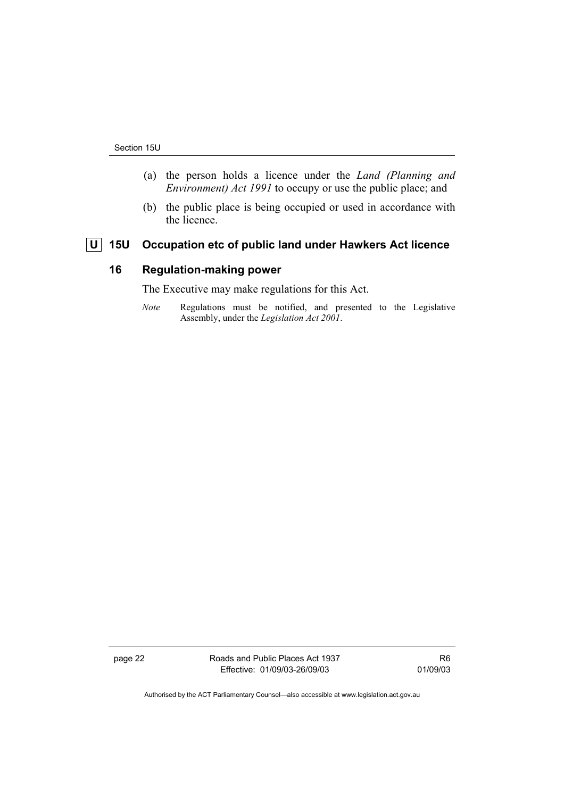- (a) the person holds a licence under the *Land (Planning and Environment) Act 1991* to occupy or use the public place; and
- (b) the public place is being occupied or used in accordance with the licence.

# **U** 15U Occupation etc of public land under Hawkers Act licence

# **16 Regulation-making power**

The Executive may make regulations for this Act.

*Note* Regulations must be notified, and presented to the Legislative Assembly, under the *Legislation Act 2001*.

page 22 Roads and Public Places Act 1937 Effective: 01/09/03-26/09/03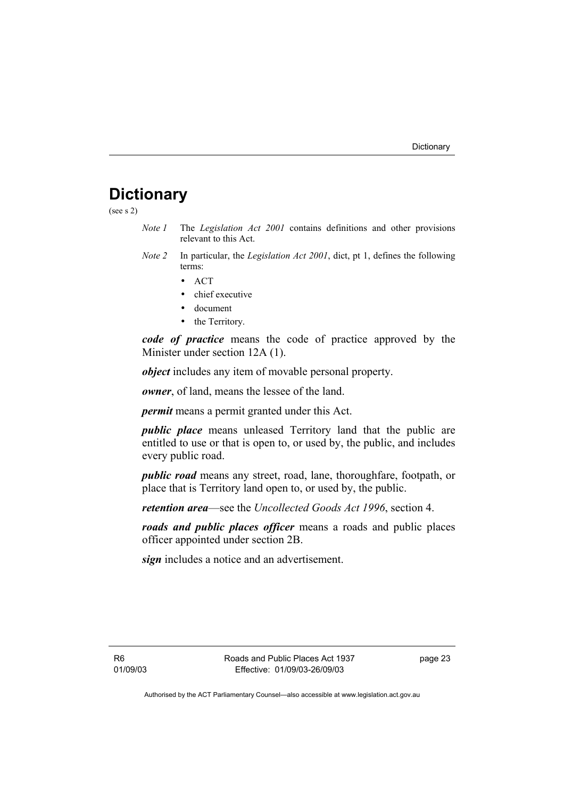# **Dictionary**

(see s 2)

- *Note 1* The *Legislation Act 2001* contains definitions and other provisions relevant to this Act.
- *Note 2* In particular, the *Legislation Act 2001*, dict, pt 1, defines the following terms:
	- ACT
	- chief executive
	- document
	- the Territory.

*code of practice* means the code of practice approved by the Minister under section 12A (1).

*object* includes any item of movable personal property.

*owner*, of land, means the lessee of the land.

*permit* means a permit granted under this Act.

*public place* means unleased Territory land that the public are entitled to use or that is open to, or used by, the public, and includes every public road.

*public road* means any street, road, lane, thoroughfare, footpath, or place that is Territory land open to, or used by, the public.

*retention area*—see the *Uncollected Goods Act 1996*, section 4.

*roads and public places officer* means a roads and public places officer appointed under section 2B.

*sign* includes a notice and an advertisement.

page 23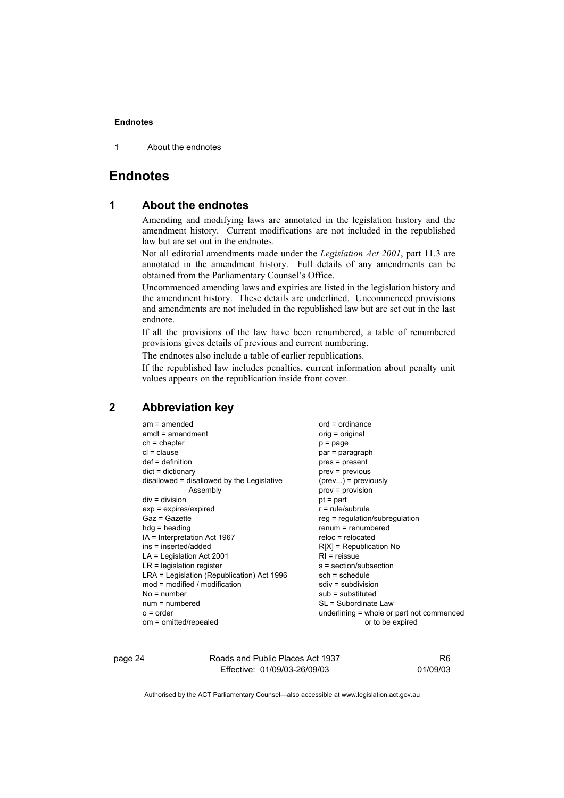1 About the endnotes

# **Endnotes**

## **1 About the endnotes**

Amending and modifying laws are annotated in the legislation history and the amendment history. Current modifications are not included in the republished law but are set out in the endnotes.

Not all editorial amendments made under the *Legislation Act 2001*, part 11.3 are annotated in the amendment history. Full details of any amendments can be obtained from the Parliamentary Counsel's Office.

Uncommenced amending laws and expiries are listed in the legislation history and the amendment history. These details are underlined. Uncommenced provisions and amendments are not included in the republished law but are set out in the last endnote.

If all the provisions of the law have been renumbered, a table of renumbered provisions gives details of previous and current numbering.

The endnotes also include a table of earlier republications.

If the republished law includes penalties, current information about penalty unit values appears on the republication inside front cover.

## **2 Abbreviation key**

| $am = amended$                             | $ord = ordinance$                         |
|--------------------------------------------|-------------------------------------------|
| $amdt = amendment$                         | $orig = original$                         |
| $ch = chapter$                             | $p = page$                                |
| $cl = clause$                              | par = paragraph                           |
| $def = definition$                         | $pres = present$                          |
| $dict = dictionary$                        | $prev = previous$                         |
| disallowed = disallowed by the Legislative | $(\text{prev})$ = previously              |
| Assembly                                   | $prov = provision$                        |
| $div = division$                           | $pt = part$                               |
| $exp = expires/expired$                    | $r = rule/subrule$                        |
| $Gaz = Gazette$                            | $reg = regulation/subregulation$          |
| $h dq =$ heading                           | $renum = renumbered$                      |
| IA = Interpretation Act 1967               | $reloc = relocated$                       |
| ins = inserted/added                       | $R[X]$ = Republication No                 |
| $LA =$ Legislation Act 2001                | $RI =$ reissue                            |
| $LR =$ legislation register                | s = section/subsection                    |
| LRA = Legislation (Republication) Act 1996 | $sch = schedule$                          |
| $mod =$ modified / modification            | $sdiv = subdivision$                      |
| $No = number$                              | $sub =$ substituted                       |
| $num = numbered$                           | SL = Subordinate Law                      |
| $o = order$                                | underlining = whole or part not commenced |
| om = omitted/repealed                      | or to be expired                          |

page 24 Roads and Public Places Act 1937 Effective: 01/09/03-26/09/03

R6 01/09/03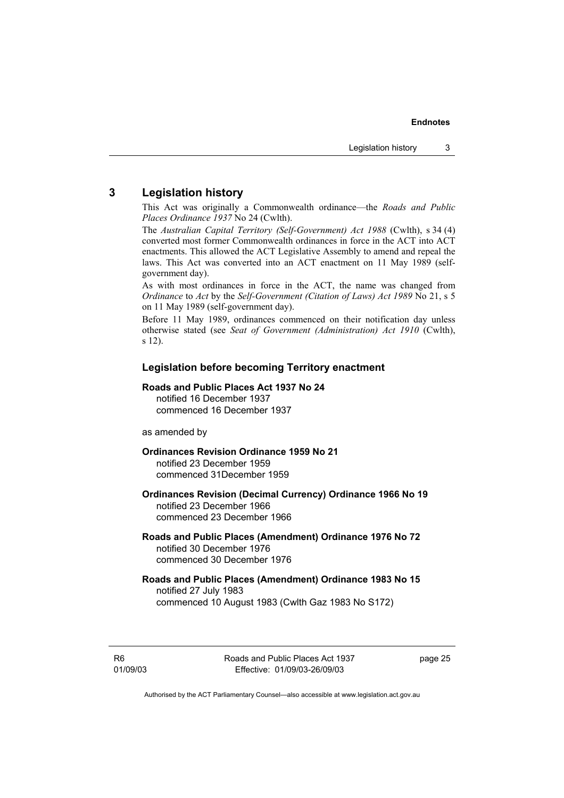# **3 Legislation history**

This Act was originally a Commonwealth ordinance—the *Roads and Public Places Ordinance 1937* No 24 (Cwlth).

The *Australian Capital Territory (Self-Government) Act 1988* (Cwlth), s 34 (4) converted most former Commonwealth ordinances in force in the ACT into ACT enactments. This allowed the ACT Legislative Assembly to amend and repeal the laws. This Act was converted into an ACT enactment on 11 May 1989 (selfgovernment day).

As with most ordinances in force in the ACT, the name was changed from *Ordinance* to *Act* by the *Self-Government (Citation of Laws) Act 1989* No 21, s 5 on 11 May 1989 (self-government day).

Before 11 May 1989, ordinances commenced on their notification day unless otherwise stated (see *Seat of Government (Administration) Act 1910* (Cwlth), s 12).

## **Legislation before becoming Territory enactment**

## **Roads and Public Places Act 1937 No 24**

notified 16 December 1937 commenced 16 December 1937

as amended by

**Ordinances Revision Ordinance 1959 No 21**  notified 23 December 1959 commenced 31December 1959

**Ordinances Revision (Decimal Currency) Ordinance 1966 No 19**  notified 23 December 1966 commenced 23 December 1966

**Roads and Public Places (Amendment) Ordinance 1976 No 72**  notified 30 December 1976 commenced 30 December 1976

**Roads and Public Places (Amendment) Ordinance 1983 No 15**  notified 27 July 1983

commenced 10 August 1983 (Cwlth Gaz 1983 No S172)

R6 01/09/03 page 25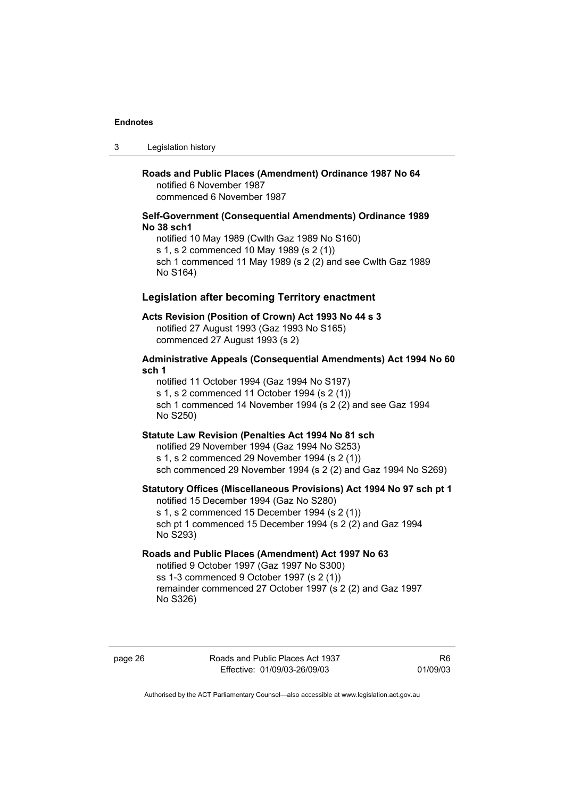| Legislation history<br>-3 |  |
|---------------------------|--|
|---------------------------|--|

# **Roads and Public Places (Amendment) Ordinance 1987 No 64**  notified 6 November 1987

commenced 6 November 1987

## **Self-Government (Consequential Amendments) Ordinance 1989 No 38 sch1**

notified 10 May 1989 (Cwlth Gaz 1989 No S160) s 1, s 2 commenced 10 May 1989 (s 2 (1)) sch 1 commenced 11 May 1989 (s 2 (2) and see Cwlth Gaz 1989 No S164)

## **Legislation after becoming Territory enactment**

# **Acts Revision (Position of Crown) Act 1993 No 44 s 3**

notified 27 August 1993 (Gaz 1993 No S165) commenced 27 August 1993 (s 2)

## **Administrative Appeals (Consequential Amendments) Act 1994 No 60 sch 1**

notified 11 October 1994 (Gaz 1994 No S197) s 1, s 2 commenced 11 October 1994 (s 2 (1)) sch 1 commenced 14 November 1994 (s 2 (2) and see Gaz 1994 No S250)

## **Statute Law Revision (Penalties Act 1994 No 81 sch**

notified 29 November 1994 (Gaz 1994 No S253) s 1, s 2 commenced 29 November 1994 (s 2 (1)) sch commenced 29 November 1994 (s 2 (2) and Gaz 1994 No S269)

## **Statutory Offices (Miscellaneous Provisions) Act 1994 No 97 sch pt 1**

notified 15 December 1994 (Gaz No S280)

s 1, s 2 commenced 15 December 1994 (s 2 (1)) sch pt 1 commenced 15 December 1994 (s 2 (2) and Gaz 1994 No S293)

## **Roads and Public Places (Amendment) Act 1997 No 63**

notified 9 October 1997 (Gaz 1997 No S300) ss 1-3 commenced 9 October 1997 (s 2 (1)) remainder commenced 27 October 1997 (s 2 (2) and Gaz 1997 No S326)

page 26 Roads and Public Places Act 1937 Effective: 01/09/03-26/09/03

R6 01/09/03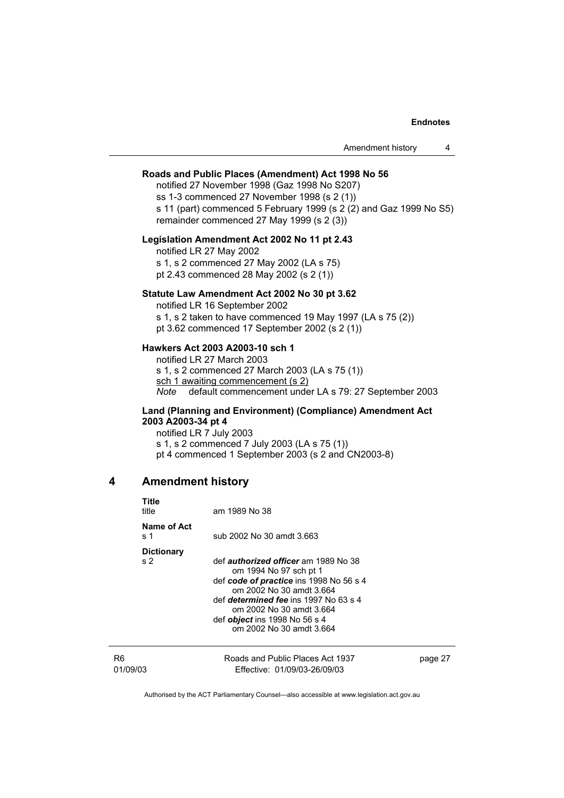## **Roads and Public Places (Amendment) Act 1998 No 56**

notified 27 November 1998 (Gaz 1998 No S207) ss 1-3 commenced 27 November 1998 (s 2 (1)) s 11 (part) commenced 5 February 1999 (s 2 (2) and Gaz 1999 No S5)

remainder commenced 27 May 1999 (s 2 (3))

## **Legislation Amendment Act 2002 No 11 pt 2.43**

notified LR 27 May 2002

s 1, s 2 commenced 27 May 2002 (LA s 75) pt 2.43 commenced 28 May 2002 (s 2 (1))

## **Statute Law Amendment Act 2002 No 30 pt 3.62**

notified LR 16 September 2002 s 1, s 2 taken to have commenced 19 May 1997 (LA s 75 (2)) pt 3.62 commenced 17 September 2002 (s 2 (1))

## **Hawkers Act 2003 A2003-10 sch 1**

notified LR 27 March 2003 s 1, s 2 commenced 27 March 2003 (LA s 75 (1)) sch 1 awaiting commencement (s 2) *Note* default commencement under LA s 79: 27 September 2003

## **Land (Planning and Environment) (Compliance) Amendment Act 2003 A2003-34 pt 4**

notified LR 7 July 2003 s 1, s 2 commenced 7 July 2003 (LA s 75 (1)) pt 4 commenced 1 September 2003 (s 2 and CN2003-8)

## **4 Amendment history**

**Title** 

| i itle<br>title                     | am 1989 No 38                                                                                                                                                                                                                                                                                |         |
|-------------------------------------|----------------------------------------------------------------------------------------------------------------------------------------------------------------------------------------------------------------------------------------------------------------------------------------------|---------|
| Name of Act<br>s 1                  | sub 2002 No 30 amdt 3.663                                                                                                                                                                                                                                                                    |         |
| <b>Dictionary</b><br>s <sub>2</sub> | def <i>authorized officer</i> am 1989 No 38<br>om 1994 No 97 sch pt 1<br>def code of practice ins 1998 No 56 s 4<br>om 2002 No 30 amdt 3.664<br>def <i>determined fee</i> ins 1997 No 63 s 4<br>om 2002 No 30 amdt 3.664<br>def <i>object</i> ins 1998 No 56 s 4<br>om 2002 No 30 amdt 3.664 |         |
| R <sub>6</sub><br>01/09/03          | Roads and Public Places Act 1937<br>Effective: 01/09/03-26/09/03                                                                                                                                                                                                                             | page 27 |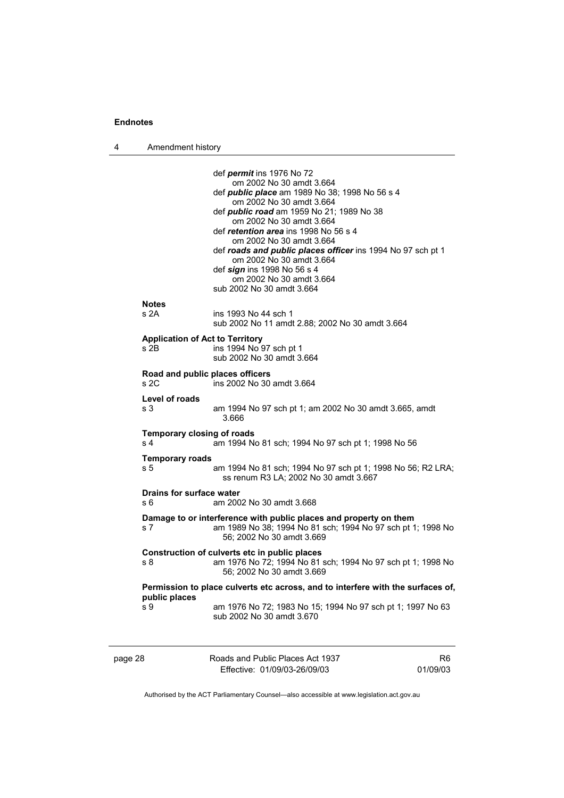4 Amendment history

| <b>Notes</b><br>s 2A                               | def <i>permit</i> ins 1976 No 72<br>om 2002 No 30 amdt 3.664<br>def <i>public place</i> am 1989 No 38; 1998 No 56 s 4<br>om 2002 No 30 amdt 3.664<br>def public road am 1959 No 21; 1989 No 38<br>om 2002 No 30 amdt 3.664<br>def retention area ins 1998 No 56 s 4<br>om 2002 No 30 amdt 3.664<br>def roads and public places officer ins 1994 No 97 sch pt 1<br>om 2002 No 30 amdt 3.664<br>def sign ins 1998 No 56 s 4<br>om 2002 No 30 amdt 3.664<br>sub 2002 No 30 amdt 3.664<br>ins 1993 No 44 sch 1 |                |
|----------------------------------------------------|------------------------------------------------------------------------------------------------------------------------------------------------------------------------------------------------------------------------------------------------------------------------------------------------------------------------------------------------------------------------------------------------------------------------------------------------------------------------------------------------------------|----------------|
|                                                    | sub 2002 No 11 amdt 2.88; 2002 No 30 amdt 3.664                                                                                                                                                                                                                                                                                                                                                                                                                                                            |                |
| <b>Application of Act to Territory</b><br>s 2B     | ins 1994 No 97 sch pt 1<br>sub 2002 No 30 amdt 3.664                                                                                                                                                                                                                                                                                                                                                                                                                                                       |                |
| Road and public places officers<br>s <sub>2C</sub> | ins 2002 No 30 amdt 3.664                                                                                                                                                                                                                                                                                                                                                                                                                                                                                  |                |
| Level of roads<br>s 3                              | am 1994 No 97 sch pt 1; am 2002 No 30 amdt 3.665, amdt<br>3.666                                                                                                                                                                                                                                                                                                                                                                                                                                            |                |
| <b>Temporary closing of roads</b><br>s 4           | am 1994 No 81 sch; 1994 No 97 sch pt 1; 1998 No 56                                                                                                                                                                                                                                                                                                                                                                                                                                                         |                |
| <b>Temporary roads</b><br>s 5                      | am 1994 No 81 sch; 1994 No 97 sch pt 1; 1998 No 56; R2 LRA;<br>ss renum R3 LA; 2002 No 30 amdt 3.667                                                                                                                                                                                                                                                                                                                                                                                                       |                |
| Drains for surface water<br>s 6                    | am 2002 No 30 amdt 3.668                                                                                                                                                                                                                                                                                                                                                                                                                                                                                   |                |
| s 7                                                | Damage to or interference with public places and property on them<br>am 1989 No 38; 1994 No 81 sch; 1994 No 97 sch pt 1; 1998 No<br>56; 2002 No 30 amdt 3.669                                                                                                                                                                                                                                                                                                                                              |                |
| s 8                                                | Construction of culverts etc in public places<br>am 1976 No 72; 1994 No 81 sch; 1994 No 97 sch pt 1; 1998 No<br>56: 2002 No 30 amdt 3.669                                                                                                                                                                                                                                                                                                                                                                  |                |
| public places                                      | Permission to place culverts etc across, and to interfere with the surfaces of,                                                                                                                                                                                                                                                                                                                                                                                                                            |                |
| s 9                                                | am 1976 No 72; 1983 No 15; 1994 No 97 sch pt 1; 1997 No 63<br>sub 2002 No 30 amdt 3.670                                                                                                                                                                                                                                                                                                                                                                                                                    |                |
| page 28                                            | Roads and Public Places Act 1937                                                                                                                                                                                                                                                                                                                                                                                                                                                                           | R <sub>6</sub> |

Authorised by the ACT Parliamentary Counsel—also accessible at www.legislation.act.gov.au

01/09/03

Effective: 01/09/03-26/09/03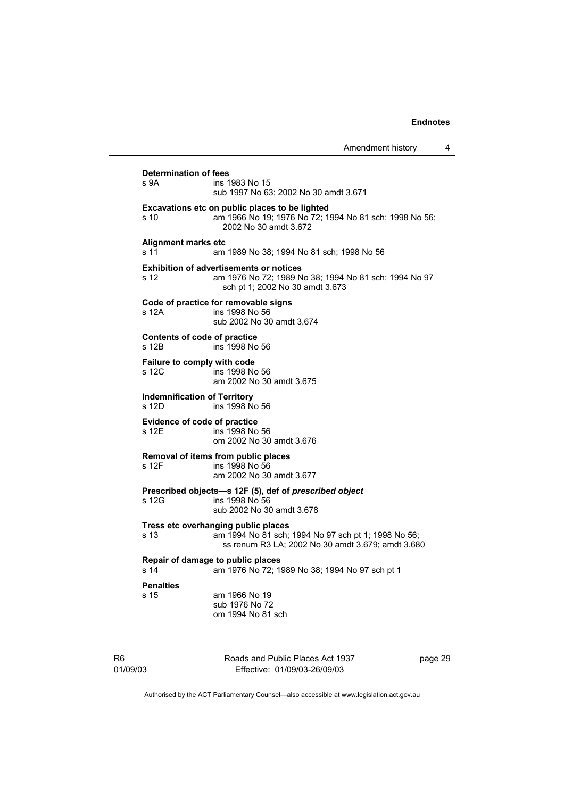**Determination of fees**  s 9A ins 1983 No 15 sub 1997 No 63; 2002 No 30 amdt 3.671 **Excavations etc on public places to be lighted**  s 10 am 1966 No 19; 1976 No 72; 1994 No 81 sch; 1998 No 56; 2002 No 30 amdt 3.672 **Alignment marks etc**  s 11 am 1989 No 38; 1994 No 81 sch; 1998 No 56 **Exhibition of advertisements or notices**  s 12 am 1976 No 72; 1989 No 38; 1994 No 81 sch; 1994 No 97 sch pt 1; 2002 No 30 amdt 3.673 **Code of practice for removable signs**  ins 1998 No 56 sub 2002 No 30 amdt 3.674 **Contents of code of practice**  ins 1998 No 56 **Failure to comply with code**  s 12C ins 1998 No 56 am 2002 No 30 amdt 3.675 **Indemnification of Territory**  s 12D ins 1998 No 56 **Evidence of code of practice**  ins 1998 No 56 om 2002 No 30 amdt 3.676 **Removal of items from public places**  s 12F ins 1998 No 56 am 2002 No 30 amdt 3.677 **Prescribed objects—s 12F (5), def of** *prescribed object* s 12G ins 1998 No 56 sub 2002 No 30 amdt 3.678 **Tress etc overhanging public places**  s 13 am 1994 No 81 sch; 1994 No 97 sch pt 1; 1998 No 56; ss renum R3 LA; 2002 No 30 amdt 3.679; amdt 3.680 **Repair of damage to public places**<br>s 14 am 1976 No 72: 1 am 1976 No 72; 1989 No 38; 1994 No 97 sch pt 1 **Penalties**  s 15 am 1966 No 19 sub 1976 No 72

R6 01/09/03 Roads and Public Places Act 1937 Effective: 01/09/03-26/09/03

page 29

Authorised by the ACT Parliamentary Counsel—also accessible at www.legislation.act.gov.au

om 1994 No 81 sch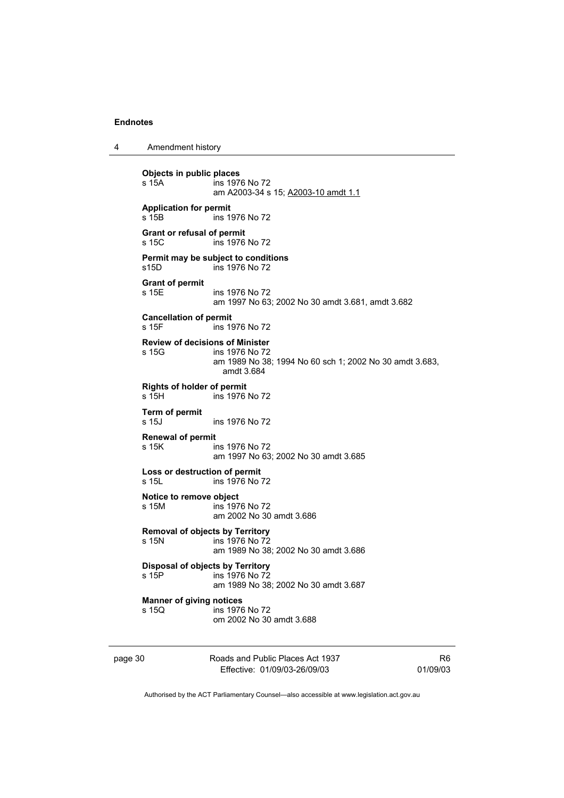4 Amendment history

**Objects in public places**  s 15A ins 1976 No 72 am A2003-34 s 15; A2003-10 amdt 1.1 **Application for permit**  s 15B ins 1976 No 72 **Grant or refusal of permit**  ins 1976 No 72 **Permit may be subject to conditions**  s15D ins 1976 No 72 **Grant of permit**  s 15E ins 1976 No 72 am 1997 No 63; 2002 No 30 amdt 3.681, amdt 3.682 **Cancellation of permit**  ins 1976 No 72 **Review of decisions of Minister**  s 15G ins 1976 No 72 am 1989 No 38; 1994 No 60 sch 1; 2002 No 30 amdt 3.683, amdt 3.684 **Rights of holder of permit**  s 15H ins 1976 No 72 **Term of permit**  s 15J ins 1976 No 72 **Renewal of permit**  s 15K ins 1976 No 72 am 1997 No 63; 2002 No 30 amdt 3.685 **Loss or destruction of permit**  s 15L ins 1976 No 72 **Notice to remove object**  ins 1976 No 72 am 2002 No 30 amdt 3.686 **Removal of objects by Territory**  s 15N ins 1976 No 72 am 1989 No 38; 2002 No 30 amdt 3.686 **Disposal of objects by Territory**  ins 1976 No 72 am 1989 No 38; 2002 No 30 amdt 3.687 **Manner of giving notices**  s 15Q ins 1976 No 72 om 2002 No 30 amdt 3.688

page 30 Roads and Public Places Act 1937 Effective: 01/09/03-26/09/03

R6 01/09/03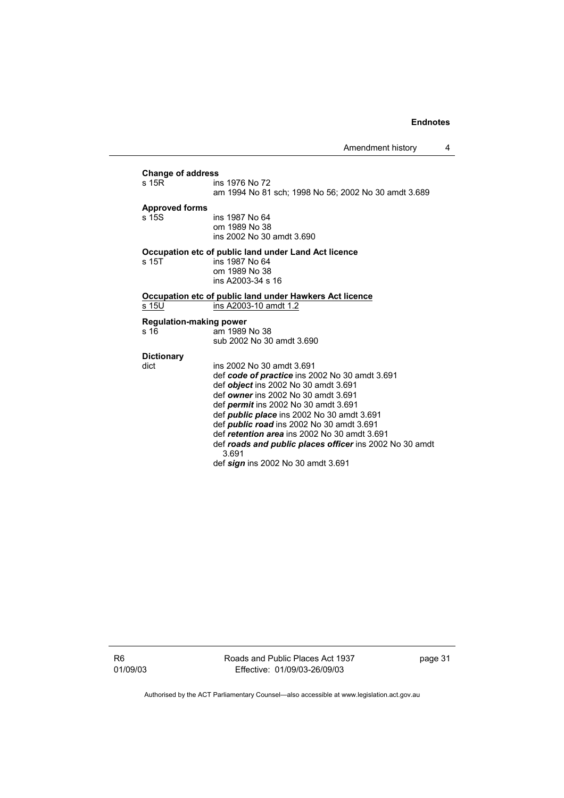Amendment history 4

## **Change of address**  ins 1976 No 72 am 1994 No 81 sch; 1998 No 56; 2002 No 30 amdt 3.689 **Approved forms**  s 15S ins 1987 No 64 om 1989 No 38 ins 2002 No 30 amdt 3.690 **Occupation etc of public land under Land Act licence**  ins 1987 No 64 om 1989 No 38 ins A2003-34 s 16 **Occupation etc of public land under Hawkers Act licence** ins A2003-10 amdt 1.2 **Regulation-making power**  s 16 am 1989 No 38 sub 2002 No 30 amdt 3.690 **Dictionary**  dict ins 2002 No 30 amdt 3.691 def *code of practice* ins 2002 No 30 amdt 3.691 def *object* ins 2002 No 30 amdt 3.691 def *owner* ins 2002 No 30 amdt 3.691 def *permit* ins 2002 No 30 amdt 3.691 def *public place* ins 2002 No 30 amdt 3.691 def *public road* ins 2002 No 30 amdt 3.691 def *retention area* ins 2002 No 30 amdt 3.691 def *roads and public places officer* ins 2002 No 30 amdt 3.691

def *sign* ins 2002 No 30 amdt 3.691

R6 01/09/03 Roads and Public Places Act 1937 Effective: 01/09/03-26/09/03

page 31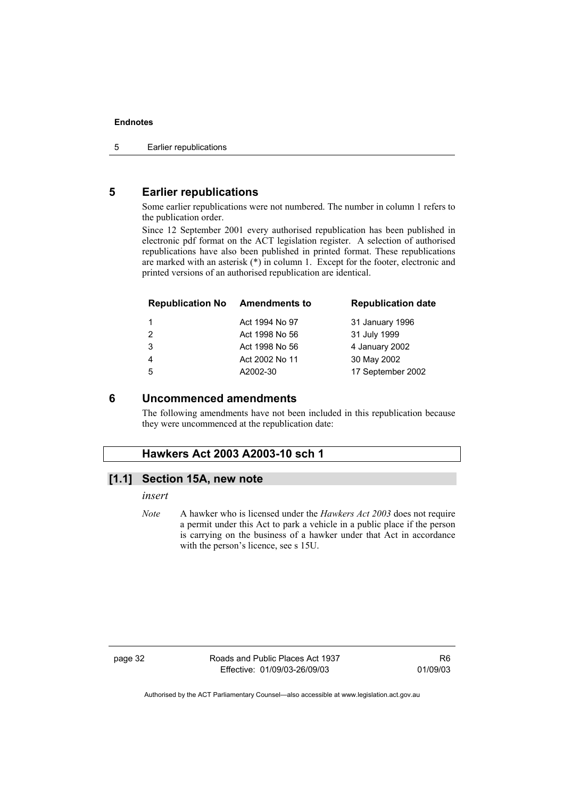# **5 Earlier republications**

Some earlier republications were not numbered. The number in column 1 refers to the publication order.

Since 12 September 2001 every authorised republication has been published in electronic pdf format on the ACT legislation register. A selection of authorised republications have also been published in printed format. These republications are marked with an asterisk (\*) in column 1. Except for the footer, electronic and printed versions of an authorised republication are identical.

| <b>Republication No</b> | <b>Amendments to</b> | <b>Republication date</b> |
|-------------------------|----------------------|---------------------------|
|                         | Act 1994 No 97       | 31 January 1996           |
| $\mathcal{P}$           | Act 1998 No 56       | 31 July 1999              |
| 3                       | Act 1998 No 56       | 4 January 2002            |
| $\overline{4}$          | Act 2002 No 11       | 30 May 2002               |
| -5                      | A2002-30             | 17 September 2002         |

## **6 Uncommenced amendments**

The following amendments have not been included in this republication because they were uncommenced at the republication date:

## **Hawkers Act 2003 A2003-10 sch 1**

## **[1.1] Section 15A, new note**

## *insert*

*Note* A hawker who is licensed under the *Hawkers Act 2003* does not require a permit under this Act to park a vehicle in a public place if the person is carrying on the business of a hawker under that Act in accordance with the person's licence, see s 15U.

page 32 Roads and Public Places Act 1937 Effective: 01/09/03-26/09/03

R6 01/09/03